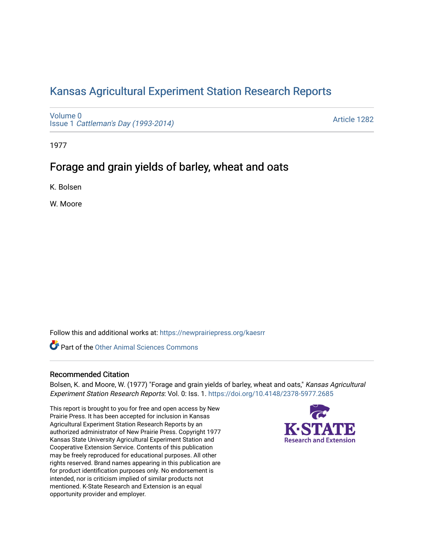# [Kansas Agricultural Experiment Station Research Reports](https://newprairiepress.org/kaesrr)

[Volume 0](https://newprairiepress.org/kaesrr/vol0) Issue 1 [Cattleman's Day \(1993-2014\)](https://newprairiepress.org/kaesrr/vol0/iss1) 

[Article 1282](https://newprairiepress.org/kaesrr/vol0/iss1/1282) 

1977

# Forage and grain yields of barley, wheat and oats

K. Bolsen

W. Moore

Follow this and additional works at: [https://newprairiepress.org/kaesrr](https://newprairiepress.org/kaesrr?utm_source=newprairiepress.org%2Fkaesrr%2Fvol0%2Fiss1%2F1282&utm_medium=PDF&utm_campaign=PDFCoverPages) 

Part of the [Other Animal Sciences Commons](http://network.bepress.com/hgg/discipline/82?utm_source=newprairiepress.org%2Fkaesrr%2Fvol0%2Fiss1%2F1282&utm_medium=PDF&utm_campaign=PDFCoverPages)

### Recommended Citation

Bolsen, K. and Moore, W. (1977) "Forage and grain yields of barley, wheat and oats," Kansas Agricultural Experiment Station Research Reports: Vol. 0: Iss. 1. <https://doi.org/10.4148/2378-5977.2685>

This report is brought to you for free and open access by New Prairie Press. It has been accepted for inclusion in Kansas Agricultural Experiment Station Research Reports by an authorized administrator of New Prairie Press. Copyright 1977 Kansas State University Agricultural Experiment Station and Cooperative Extension Service. Contents of this publication may be freely reproduced for educational purposes. All other rights reserved. Brand names appearing in this publication are for product identification purposes only. No endorsement is intended, nor is criticism implied of similar products not mentioned. K-State Research and Extension is an equal opportunity provider and employer.

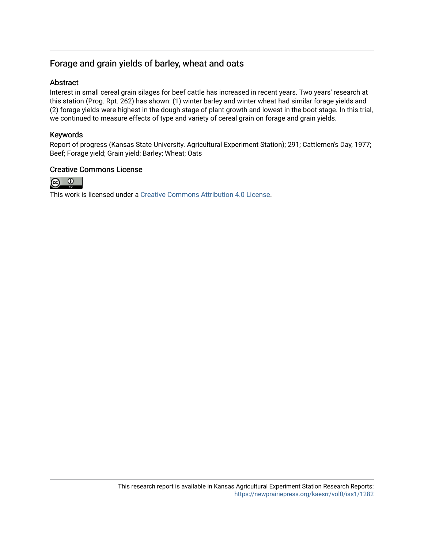# Forage and grain yields of barley, wheat and oats

# **Abstract**

Interest in small cereal grain silages for beef cattle has increased in recent years. Two years' research at this station (Prog. Rpt. 262) has shown: (1) winter barley and winter wheat had similar forage yields and (2) forage yields were highest in the dough stage of plant growth and lowest in the boot stage. In this trial, we continued to measure effects of type and variety of cereal grain on forage and grain yields.

# Keywords

Report of progress (Kansas State University. Agricultural Experiment Station); 291; Cattlemen's Day, 1977; Beef; Forage yield; Grain yield; Barley; Wheat; Oats

### Creative Commons License



This work is licensed under a [Creative Commons Attribution 4.0 License](https://creativecommons.org/licenses/by/4.0/).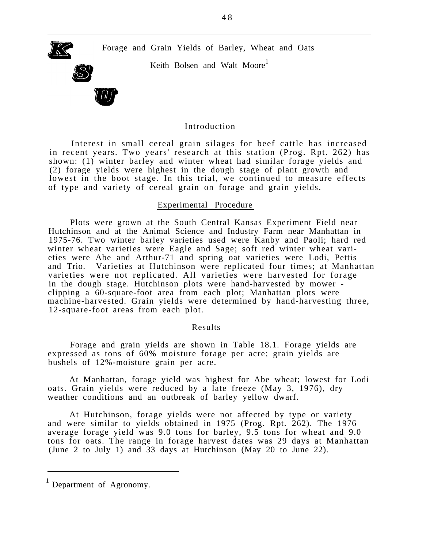

Keith Bolsen and Walt Moore<sup>1</sup>



#### Introduction

Interest in small cereal grain silages for beef cattle has increased in recent years. Two years' research at this station (Prog. Rpt. 262) has shown: (1) winter barley and winter wheat had similar forage yields and (2) forage yields were highest in the dough stage of plant growth and lowest in the boot stage. In this trial, we continued to measure effects of type and variety of cereal grain on forage and grain yields.

#### Experimental Procedure

Plots were grown at the South Central Kansas Experiment Field near Hutchinson and at the Animal Science and Industry Farm near Manhattan in 1975-76. Two winter barley varieties used were Kanby and Paoli; hard red winter wheat varieties were Eagle and Sage; soft red winter wheat varieties were Abe and Arthur-71 and spring oat varieties were Lodi, Pettis and Trio. Varieties at Hutchinson were replicated four times; at Manhattan varieties were not replicated. All varieties were harvested for forage in the dough stage. Hutchinson plots were hand-harvested by mower clipping a 60-square-foot area from each plot; Manhattan plots were machine-harvested. Grain yields were determined by hand-harvesting three, 12-square-foot areas from each plot.

#### Results

Forage and grain yields are shown in Table 18.1. Forage yields are expressed as tons of 60% moisture forage per acre; grain yields are bushels of 12%-moisture grain per acre.

At Manhattan, forage yield was highest for Abe wheat; lowest for Lodi oats. Grain yields were reduced by a late freeze (May 3, 1976), dry weather conditions and an outbreak of barley yellow dwarf.

At Hutchinson, forage yields were not affected by type or variety and were similar to yields obtained in 1975 (Prog. Rpt. 262). The 1976 average forage yield was 9.0 tons for barley, 9.5 tons for wheat and 9.0 tons for oats. The range in forage harvest dates was 29 days at Manhattan (June 2 to July 1) and 33 days at Hutchinson (May 20 to June 22).

<sup>1</sup> Department of Agronomy.